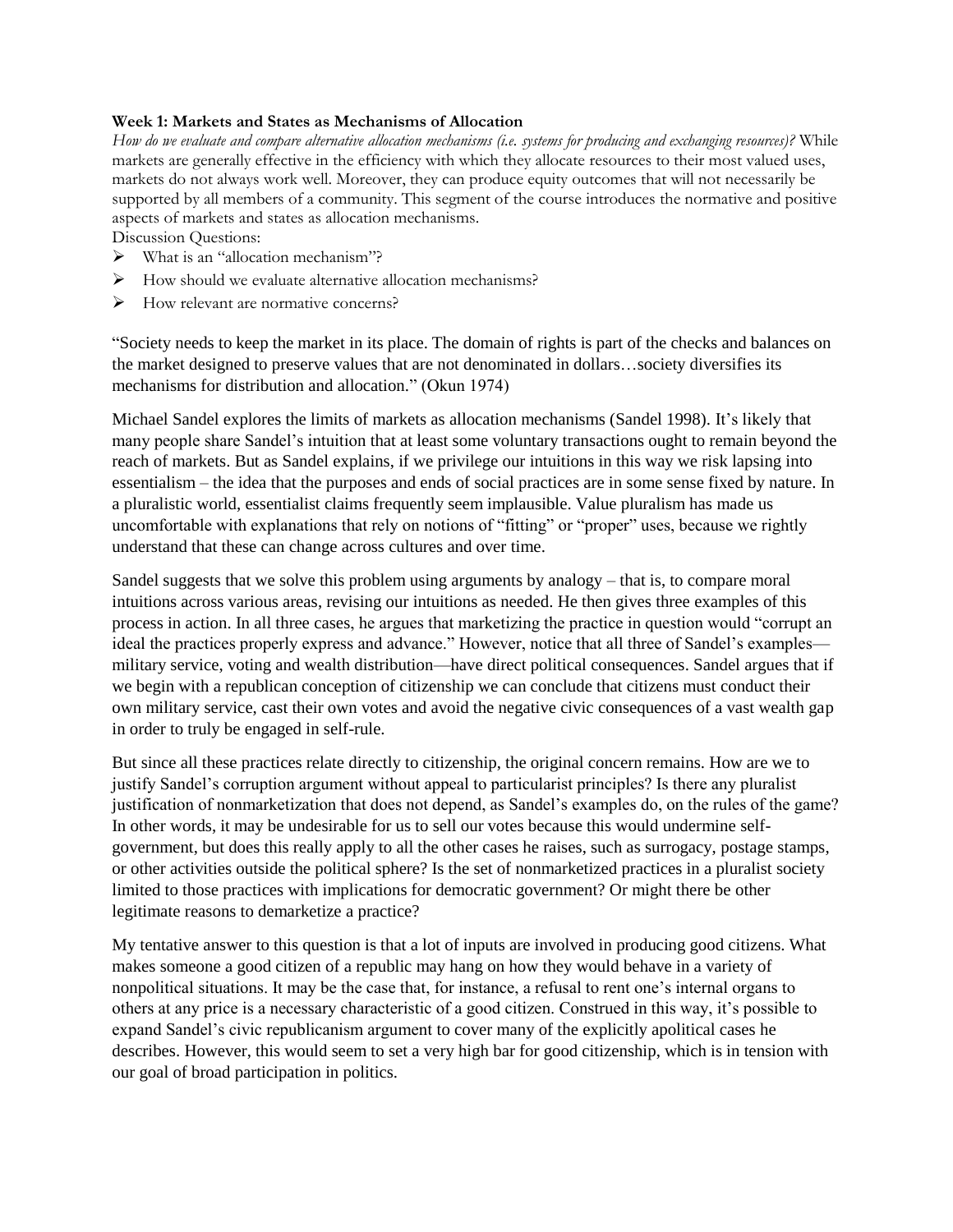### **Week 1: Markets and States as Mechanisms of Allocation**

*How do we evaluate and compare alternative allocation mechanisms (i.e. systems for producing and exchanging resources)?* While markets are generally effective in the efficiency with which they allocate resources to their most valued uses, markets do not always work well. Moreover, they can produce equity outcomes that will not necessarily be supported by all members of a community. This segment of the course introduces the normative and positive aspects of markets and states as allocation mechanisms.

Discussion Questions:

- ➢ What is an "allocation mechanism"?
- ➢ How should we evaluate alternative allocation mechanisms?
- ➢ How relevant are normative concerns?

"Society needs to keep the market in its place. The domain of rights is part of the checks and balances on the market designed to preserve values that are not denominated in dollars…society diversifies its mechanisms for distribution and allocation." (Okun 1974)

Michael Sandel explores the limits of markets as allocation mechanisms (Sandel 1998). It's likely that many people share Sandel's intuition that at least some voluntary transactions ought to remain beyond the reach of markets. But as Sandel explains, if we privilege our intuitions in this way we risk lapsing into essentialism – the idea that the purposes and ends of social practices are in some sense fixed by nature. In a pluralistic world, essentialist claims frequently seem implausible. Value pluralism has made us uncomfortable with explanations that rely on notions of "fitting" or "proper" uses, because we rightly understand that these can change across cultures and over time.

Sandel suggests that we solve this problem using arguments by analogy – that is, to compare moral intuitions across various areas, revising our intuitions as needed. He then gives three examples of this process in action. In all three cases, he argues that marketizing the practice in question would "corrupt an ideal the practices properly express and advance." However, notice that all three of Sandel's examples military service, voting and wealth distribution—have direct political consequences. Sandel argues that if we begin with a republican conception of citizenship we can conclude that citizens must conduct their own military service, cast their own votes and avoid the negative civic consequences of a vast wealth gap in order to truly be engaged in self-rule.

But since all these practices relate directly to citizenship, the original concern remains. How are we to justify Sandel's corruption argument without appeal to particularist principles? Is there any pluralist justification of nonmarketization that does not depend, as Sandel's examples do, on the rules of the game? In other words, it may be undesirable for us to sell our votes because this would undermine selfgovernment, but does this really apply to all the other cases he raises, such as surrogacy, postage stamps, or other activities outside the political sphere? Is the set of nonmarketized practices in a pluralist society limited to those practices with implications for democratic government? Or might there be other legitimate reasons to demarketize a practice?

My tentative answer to this question is that a lot of inputs are involved in producing good citizens. What makes someone a good citizen of a republic may hang on how they would behave in a variety of nonpolitical situations. It may be the case that, for instance, a refusal to rent one's internal organs to others at any price is a necessary characteristic of a good citizen. Construed in this way, it's possible to expand Sandel's civic republicanism argument to cover many of the explicitly apolitical cases he describes. However, this would seem to set a very high bar for good citizenship, which is in tension with our goal of broad participation in politics.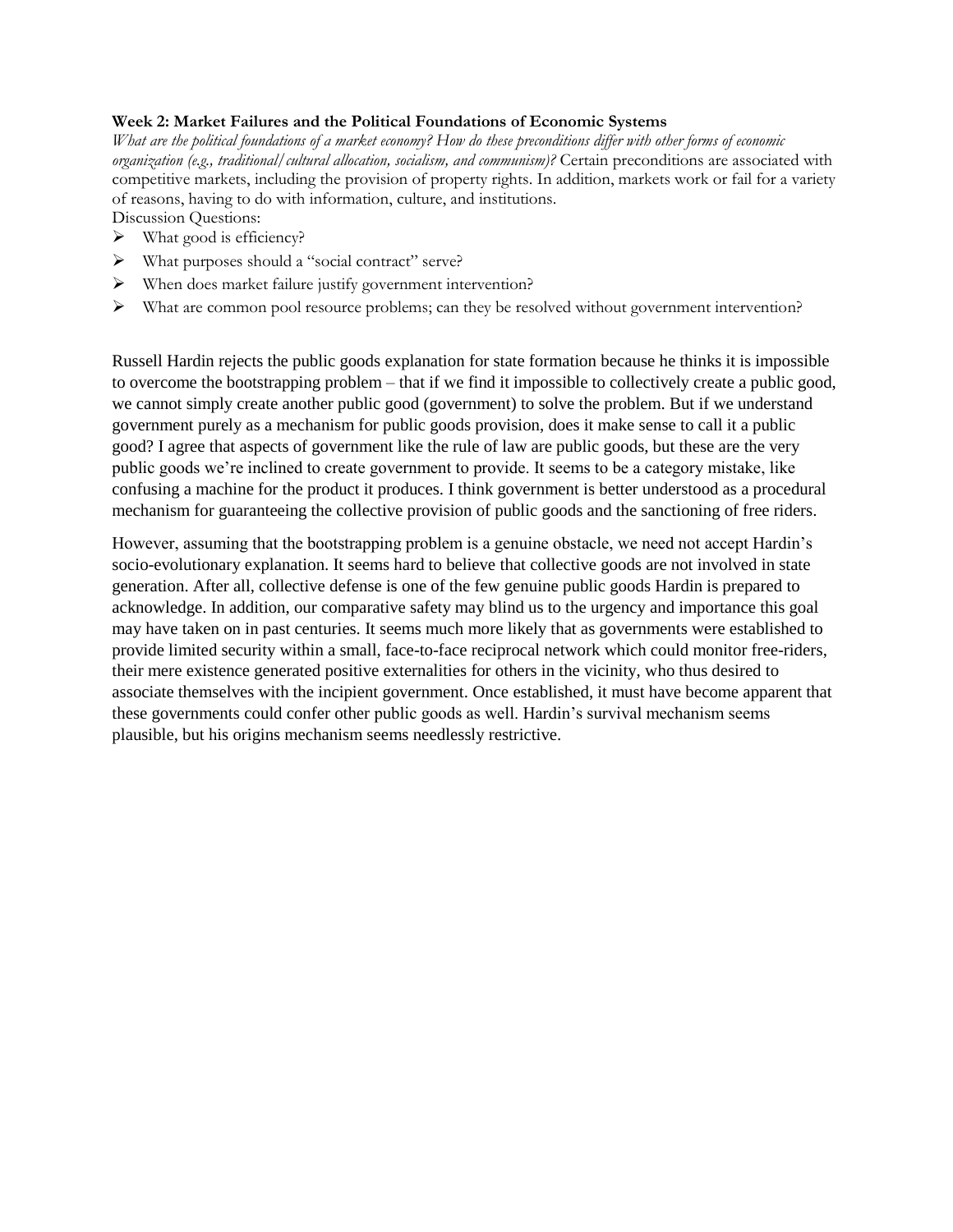# **Week 2: Market Failures and the Political Foundations of Economic Systems**

*What are the political foundations of a market economy? How do these preconditions differ with other forms of economic organization (e.g., traditional/cultural allocation, socialism, and communism)?* Certain preconditions are associated with competitive markets, including the provision of property rights. In addition, markets work or fail for a variety of reasons, having to do with information, culture, and institutions.

Discussion Questions:

- $\triangleright$  What good is efficiency?
- ➢ What purposes should a "social contract" serve?
- ➢ When does market failure justify government intervention?
- ➢ What are common pool resource problems; can they be resolved without government intervention?

Russell Hardin rejects the public goods explanation for state formation because he thinks it is impossible to overcome the bootstrapping problem – that if we find it impossible to collectively create a public good, we cannot simply create another public good (government) to solve the problem. But if we understand government purely as a mechanism for public goods provision, does it make sense to call it a public good? I agree that aspects of government like the rule of law are public goods, but these are the very public goods we're inclined to create government to provide. It seems to be a category mistake, like confusing a machine for the product it produces. I think government is better understood as a procedural mechanism for guaranteeing the collective provision of public goods and the sanctioning of free riders.

However, assuming that the bootstrapping problem is a genuine obstacle, we need not accept Hardin's socio-evolutionary explanation. It seems hard to believe that collective goods are not involved in state generation. After all, collective defense is one of the few genuine public goods Hardin is prepared to acknowledge. In addition, our comparative safety may blind us to the urgency and importance this goal may have taken on in past centuries. It seems much more likely that as governments were established to provide limited security within a small, face-to-face reciprocal network which could monitor free-riders, their mere existence generated positive externalities for others in the vicinity, who thus desired to associate themselves with the incipient government. Once established, it must have become apparent that these governments could confer other public goods as well. Hardin's survival mechanism seems plausible, but his origins mechanism seems needlessly restrictive.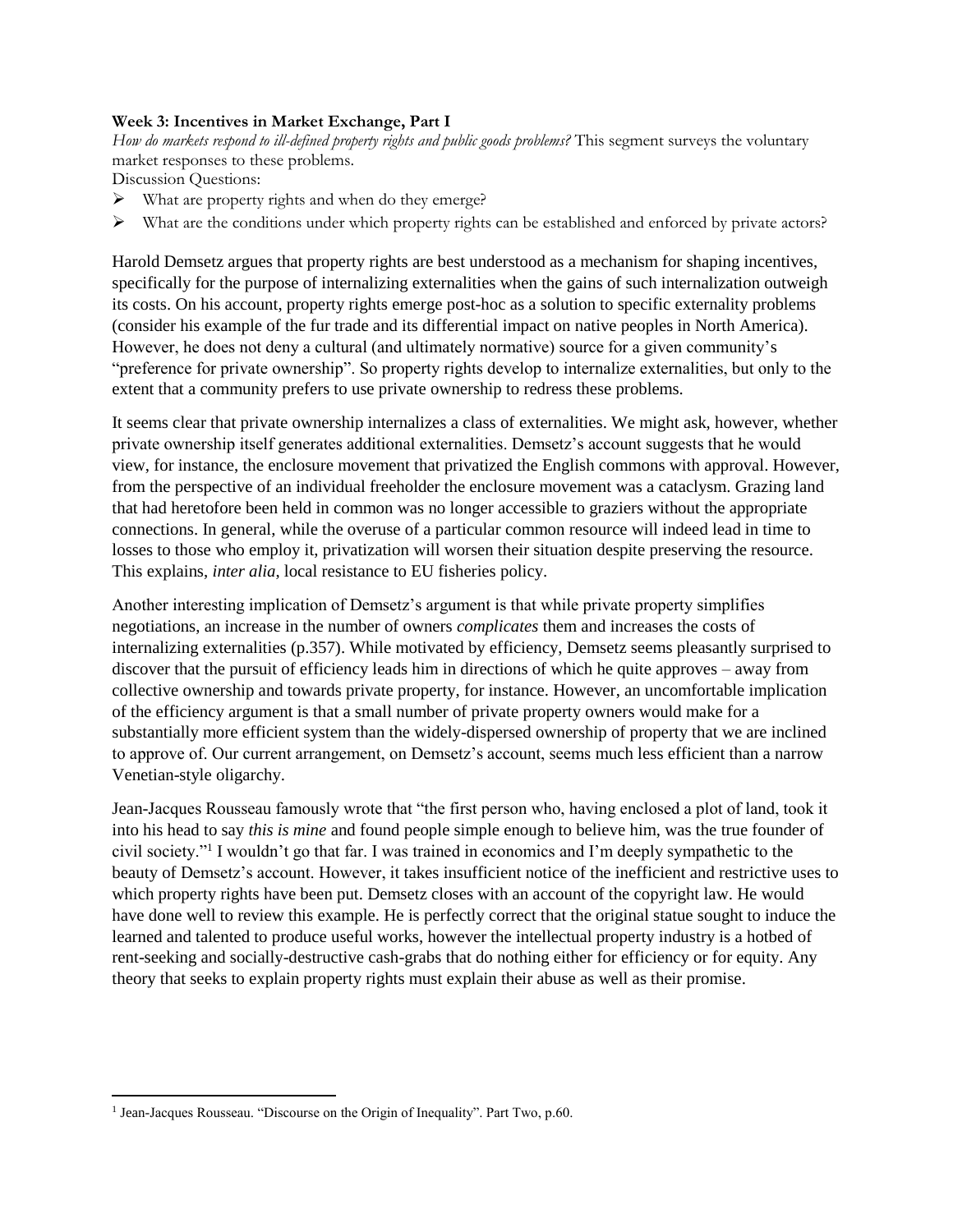# **Week 3: Incentives in Market Exchange, Part I**

*How do markets respond to ill-defined property rights and public goods problems?* This segment surveys the voluntary market responses to these problems.

Discussion Questions:

- ➢ What are property rights and when do they emerge?
- ➢ What are the conditions under which property rights can be established and enforced by private actors?

Harold Demsetz argues that property rights are best understood as a mechanism for shaping incentives, specifically for the purpose of internalizing externalities when the gains of such internalization outweigh its costs. On his account, property rights emerge post-hoc as a solution to specific externality problems (consider his example of the fur trade and its differential impact on native peoples in North America). However, he does not deny a cultural (and ultimately normative) source for a given community's "preference for private ownership". So property rights develop to internalize externalities, but only to the extent that a community prefers to use private ownership to redress these problems.

It seems clear that private ownership internalizes a class of externalities. We might ask, however, whether private ownership itself generates additional externalities. Demsetz's account suggests that he would view, for instance, the enclosure movement that privatized the English commons with approval. However, from the perspective of an individual freeholder the enclosure movement was a cataclysm. Grazing land that had heretofore been held in common was no longer accessible to graziers without the appropriate connections. In general, while the overuse of a particular common resource will indeed lead in time to losses to those who employ it, privatization will worsen their situation despite preserving the resource. This explains, *inter alia*, local resistance to EU fisheries policy.

Another interesting implication of Demsetz's argument is that while private property simplifies negotiations, an increase in the number of owners *complicates* them and increases the costs of internalizing externalities (p.357). While motivated by efficiency, Demsetz seems pleasantly surprised to discover that the pursuit of efficiency leads him in directions of which he quite approves – away from collective ownership and towards private property, for instance. However, an uncomfortable implication of the efficiency argument is that a small number of private property owners would make for a substantially more efficient system than the widely-dispersed ownership of property that we are inclined to approve of. Our current arrangement, on Demsetz's account, seems much less efficient than a narrow Venetian-style oligarchy.

Jean-Jacques Rousseau famously wrote that "the first person who, having enclosed a plot of land, took it into his head to say *this is mine* and found people simple enough to believe him, was the true founder of civil society."<sup>1</sup> I wouldn't go that far. I was trained in economics and I'm deeply sympathetic to the beauty of Demsetz's account. However, it takes insufficient notice of the inefficient and restrictive uses to which property rights have been put. Demsetz closes with an account of the copyright law. He would have done well to review this example. He is perfectly correct that the original statue sought to induce the learned and talented to produce useful works, however the intellectual property industry is a hotbed of rent-seeking and socially-destructive cash-grabs that do nothing either for efficiency or for equity. Any theory that seeks to explain property rights must explain their abuse as well as their promise.

<sup>&</sup>lt;sup>1</sup> Jean-Jacques Rousseau. "Discourse on the Origin of Inequality". Part Two, p.60.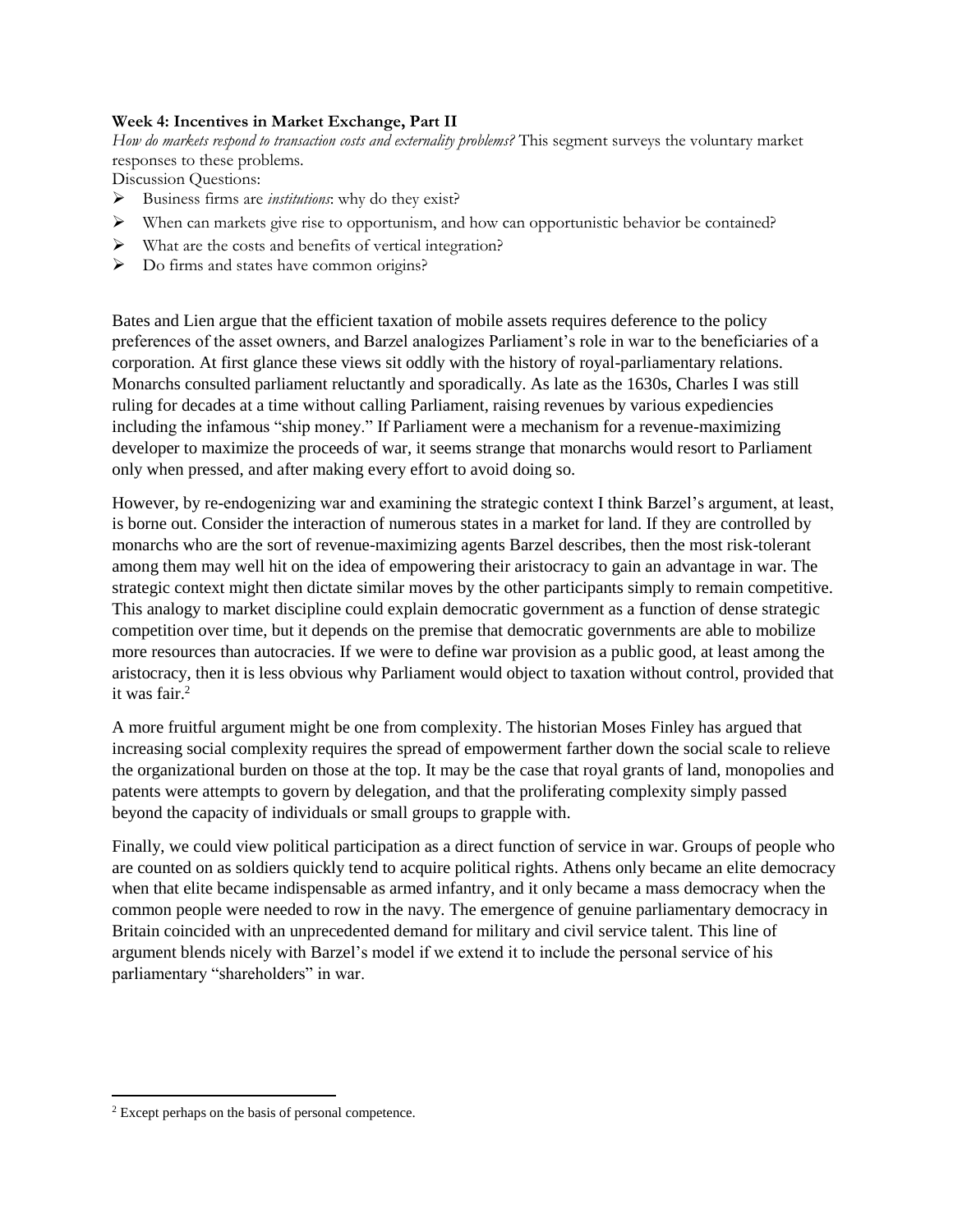# **Week 4: Incentives in Market Exchange, Part II**

*How do markets respond to transaction costs and externality problems?* This segment surveys the voluntary market responses to these problems.

Discussion Questions:

- ➢ Business firms are *institutions*: why do they exist?
- ➢ When can markets give rise to opportunism, and how can opportunistic behavior be contained?
- ➢ What are the costs and benefits of vertical integration?
- ➢ Do firms and states have common origins?

Bates and Lien argue that the efficient taxation of mobile assets requires deference to the policy preferences of the asset owners, and Barzel analogizes Parliament's role in war to the beneficiaries of a corporation. At first glance these views sit oddly with the history of royal-parliamentary relations. Monarchs consulted parliament reluctantly and sporadically. As late as the 1630s, Charles I was still ruling for decades at a time without calling Parliament, raising revenues by various expediencies including the infamous "ship money." If Parliament were a mechanism for a revenue-maximizing developer to maximize the proceeds of war, it seems strange that monarchs would resort to Parliament only when pressed, and after making every effort to avoid doing so.

However, by re-endogenizing war and examining the strategic context I think Barzel's argument, at least, is borne out. Consider the interaction of numerous states in a market for land. If they are controlled by monarchs who are the sort of revenue-maximizing agents Barzel describes, then the most risk-tolerant among them may well hit on the idea of empowering their aristocracy to gain an advantage in war. The strategic context might then dictate similar moves by the other participants simply to remain competitive. This analogy to market discipline could explain democratic government as a function of dense strategic competition over time, but it depends on the premise that democratic governments are able to mobilize more resources than autocracies. If we were to define war provision as a public good, at least among the aristocracy, then it is less obvious why Parliament would object to taxation without control, provided that it was fair.<sup>2</sup>

A more fruitful argument might be one from complexity. The historian Moses Finley has argued that increasing social complexity requires the spread of empowerment farther down the social scale to relieve the organizational burden on those at the top. It may be the case that royal grants of land, monopolies and patents were attempts to govern by delegation, and that the proliferating complexity simply passed beyond the capacity of individuals or small groups to grapple with.

Finally, we could view political participation as a direct function of service in war. Groups of people who are counted on as soldiers quickly tend to acquire political rights. Athens only became an elite democracy when that elite became indispensable as armed infantry, and it only became a mass democracy when the common people were needed to row in the navy. The emergence of genuine parliamentary democracy in Britain coincided with an unprecedented demand for military and civil service talent. This line of argument blends nicely with Barzel's model if we extend it to include the personal service of his parliamentary "shareholders" in war.

<sup>2</sup> Except perhaps on the basis of personal competence.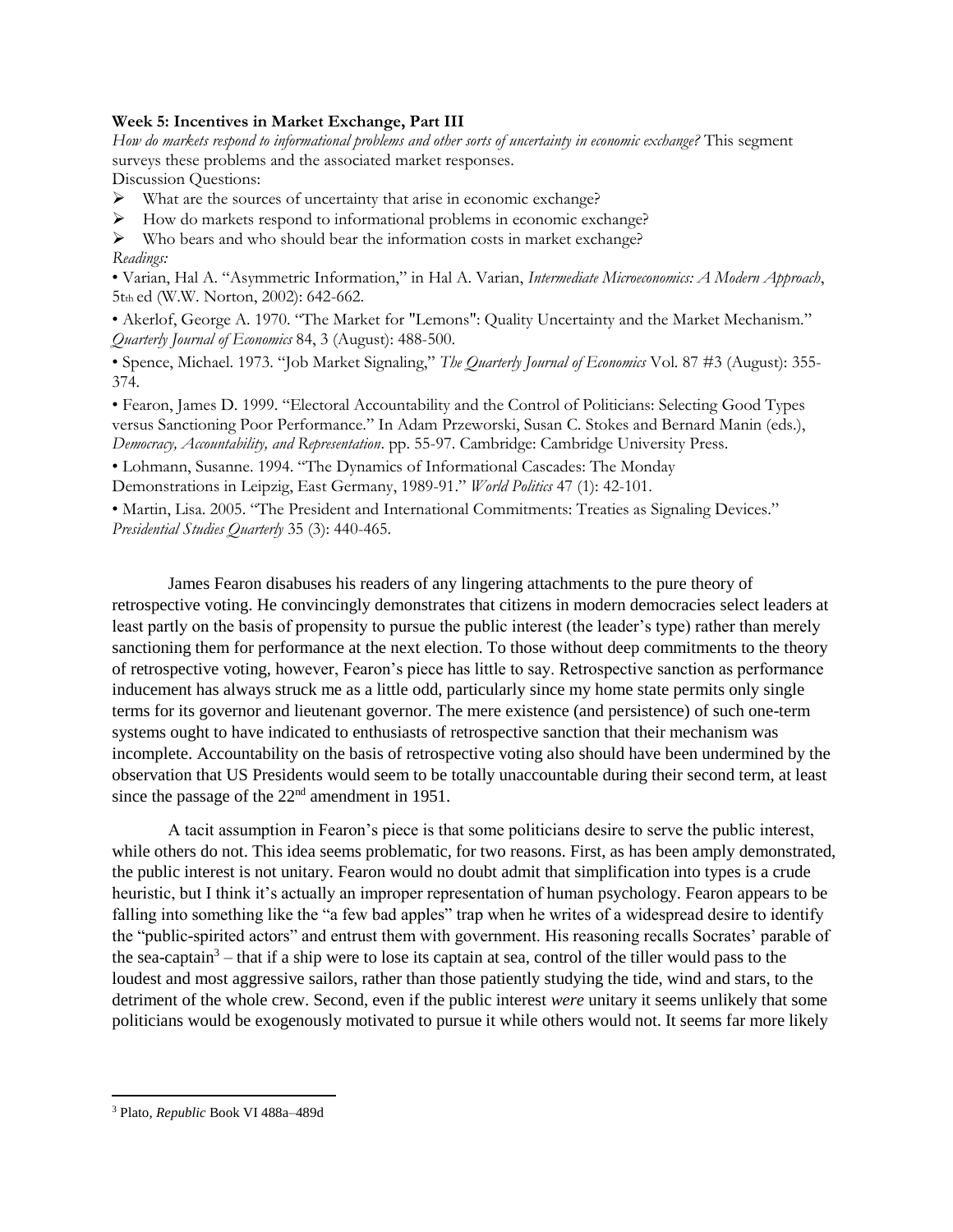### **Week 5: Incentives in Market Exchange, Part III**

*How do markets respond to informational problems and other sorts of uncertainty in economic exchange?* This segment surveys these problems and the associated market responses. Discussion Questions:

➢ What are the sources of uncertainty that arise in economic exchange?

➢ How do markets respond to informational problems in economic exchange?

➢ Who bears and who should bear the information costs in market exchange? *Readings:* 

• Varian, Hal A. "Asymmetric Information," in Hal A. Varian, *Intermediate Microeconomics: A Modern Approach*, 5tth ed (W.W. Norton, 2002): 642-662.

• Akerlof, George A. 1970. "The Market for "Lemons": Quality Uncertainty and the Market Mechanism." *Quarterly Journal of Economics* 84, 3 (August): 488-500.

• Spence, Michael. 1973. "Job Market Signaling," *The Quarterly Journal of Economics* Vol. 87 #3 (August): 355- 374.

• Fearon, James D. 1999. "Electoral Accountability and the Control of Politicians: Selecting Good Types versus Sanctioning Poor Performance." In Adam Przeworski, Susan C. Stokes and Bernard Manin (eds.), *Democracy, Accountability, and Representation*. pp. 55-97. Cambridge: Cambridge University Press.

• Lohmann, Susanne. 1994. "The Dynamics of Informational Cascades: The Monday

Demonstrations in Leipzig, East Germany, 1989-91." *World Politics* 47 (1): 42-101.

• Martin, Lisa. 2005. "The President and International Commitments: Treaties as Signaling Devices." *Presidential Studies Quarterly* 35 (3): 440-465.

James Fearon disabuses his readers of any lingering attachments to the pure theory of retrospective voting. He convincingly demonstrates that citizens in modern democracies select leaders at least partly on the basis of propensity to pursue the public interest (the leader's type) rather than merely sanctioning them for performance at the next election. To those without deep commitments to the theory of retrospective voting, however, Fearon's piece has little to say. Retrospective sanction as performance inducement has always struck me as a little odd, particularly since my home state permits only single terms for its governor and lieutenant governor. The mere existence (and persistence) of such one-term systems ought to have indicated to enthusiasts of retrospective sanction that their mechanism was incomplete. Accountability on the basis of retrospective voting also should have been undermined by the observation that US Presidents would seem to be totally unaccountable during their second term, at least since the passage of the 22<sup>nd</sup> amendment in 1951.

A tacit assumption in Fearon's piece is that some politicians desire to serve the public interest, while others do not. This idea seems problematic, for two reasons. First, as has been amply demonstrated, the public interest is not unitary. Fearon would no doubt admit that simplification into types is a crude heuristic, but I think it's actually an improper representation of human psychology. Fearon appears to be falling into something like the "a few bad apples" trap when he writes of a widespread desire to identify the "public-spirited actors" and entrust them with government. His reasoning recalls Socrates' parable of the sea-captain<sup>3</sup> – that if a ship were to lose its captain at sea, control of the tiller would pass to the loudest and most aggressive sailors, rather than those patiently studying the tide, wind and stars, to the detriment of the whole crew. Second, even if the public interest *were* unitary it seems unlikely that some politicians would be exogenously motivated to pursue it while others would not. It seems far more likely

<sup>3</sup> Plato, *Republic* Book VI 488a–489d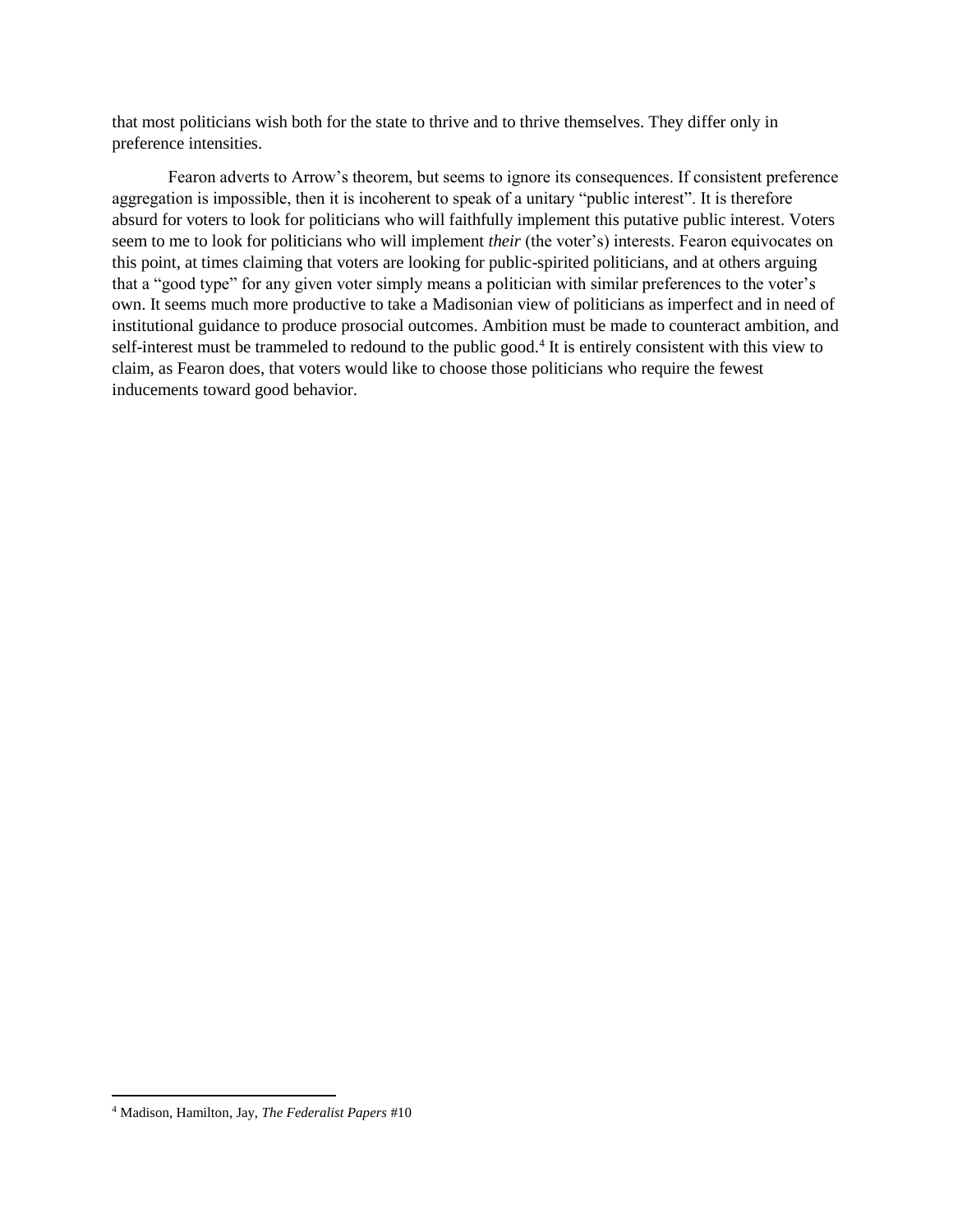that most politicians wish both for the state to thrive and to thrive themselves. They differ only in preference intensities.

Fearon adverts to Arrow's theorem, but seems to ignore its consequences. If consistent preference aggregation is impossible, then it is incoherent to speak of a unitary "public interest". It is therefore absurd for voters to look for politicians who will faithfully implement this putative public interest. Voters seem to me to look for politicians who will implement *their* (the voter's) interests. Fearon equivocates on this point, at times claiming that voters are looking for public-spirited politicians, and at others arguing that a "good type" for any given voter simply means a politician with similar preferences to the voter's own. It seems much more productive to take a Madisonian view of politicians as imperfect and in need of institutional guidance to produce prosocial outcomes. Ambition must be made to counteract ambition, and self-interest must be trammeled to redound to the public good.<sup>4</sup> It is entirely consistent with this view to claim, as Fearon does, that voters would like to choose those politicians who require the fewest inducements toward good behavior.

<sup>4</sup> Madison, Hamilton, Jay, *The Federalist Papers* #10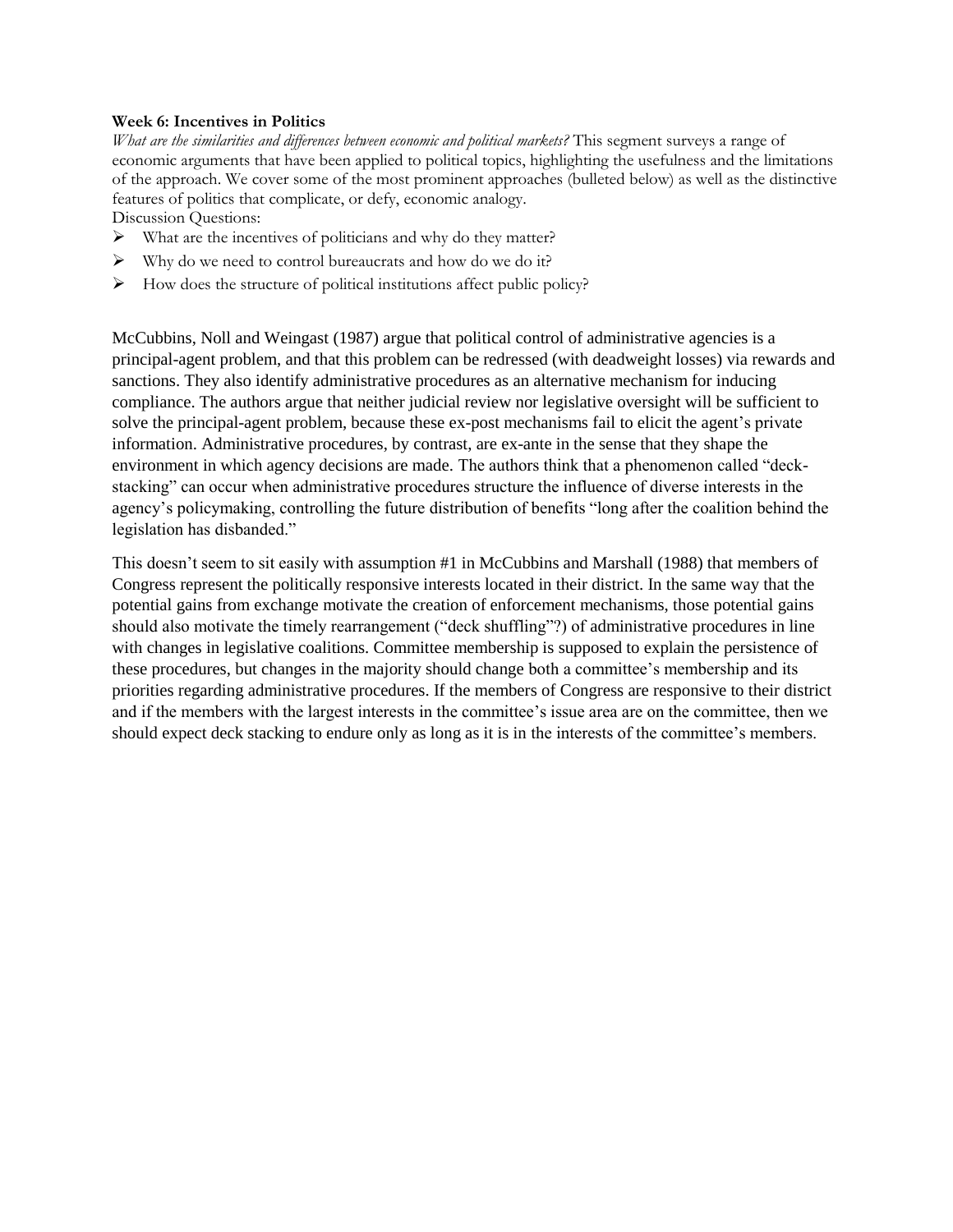### **Week 6: Incentives in Politics**

*What are the similarities and differences between economic and political markets?* This segment surveys a range of economic arguments that have been applied to political topics, highlighting the usefulness and the limitations of the approach. We cover some of the most prominent approaches (bulleted below) as well as the distinctive features of politics that complicate, or defy, economic analogy.

Discussion Questions:

- ➢ What are the incentives of politicians and why do they matter?
- $\triangleright$  Why do we need to control bureaucrats and how do we do it?
- $\triangleright$  How does the structure of political institutions affect public policy?

McCubbins, Noll and Weingast (1987) argue that political control of administrative agencies is a principal-agent problem, and that this problem can be redressed (with deadweight losses) via rewards and sanctions. They also identify administrative procedures as an alternative mechanism for inducing compliance. The authors argue that neither judicial review nor legislative oversight will be sufficient to solve the principal-agent problem, because these ex-post mechanisms fail to elicit the agent's private information. Administrative procedures, by contrast, are ex-ante in the sense that they shape the environment in which agency decisions are made. The authors think that a phenomenon called "deckstacking" can occur when administrative procedures structure the influence of diverse interests in the agency's policymaking, controlling the future distribution of benefits "long after the coalition behind the legislation has disbanded."

This doesn't seem to sit easily with assumption #1 in McCubbins and Marshall (1988) that members of Congress represent the politically responsive interests located in their district. In the same way that the potential gains from exchange motivate the creation of enforcement mechanisms, those potential gains should also motivate the timely rearrangement ("deck shuffling"?) of administrative procedures in line with changes in legislative coalitions. Committee membership is supposed to explain the persistence of these procedures, but changes in the majority should change both a committee's membership and its priorities regarding administrative procedures. If the members of Congress are responsive to their district and if the members with the largest interests in the committee's issue area are on the committee, then we should expect deck stacking to endure only as long as it is in the interests of the committee's members.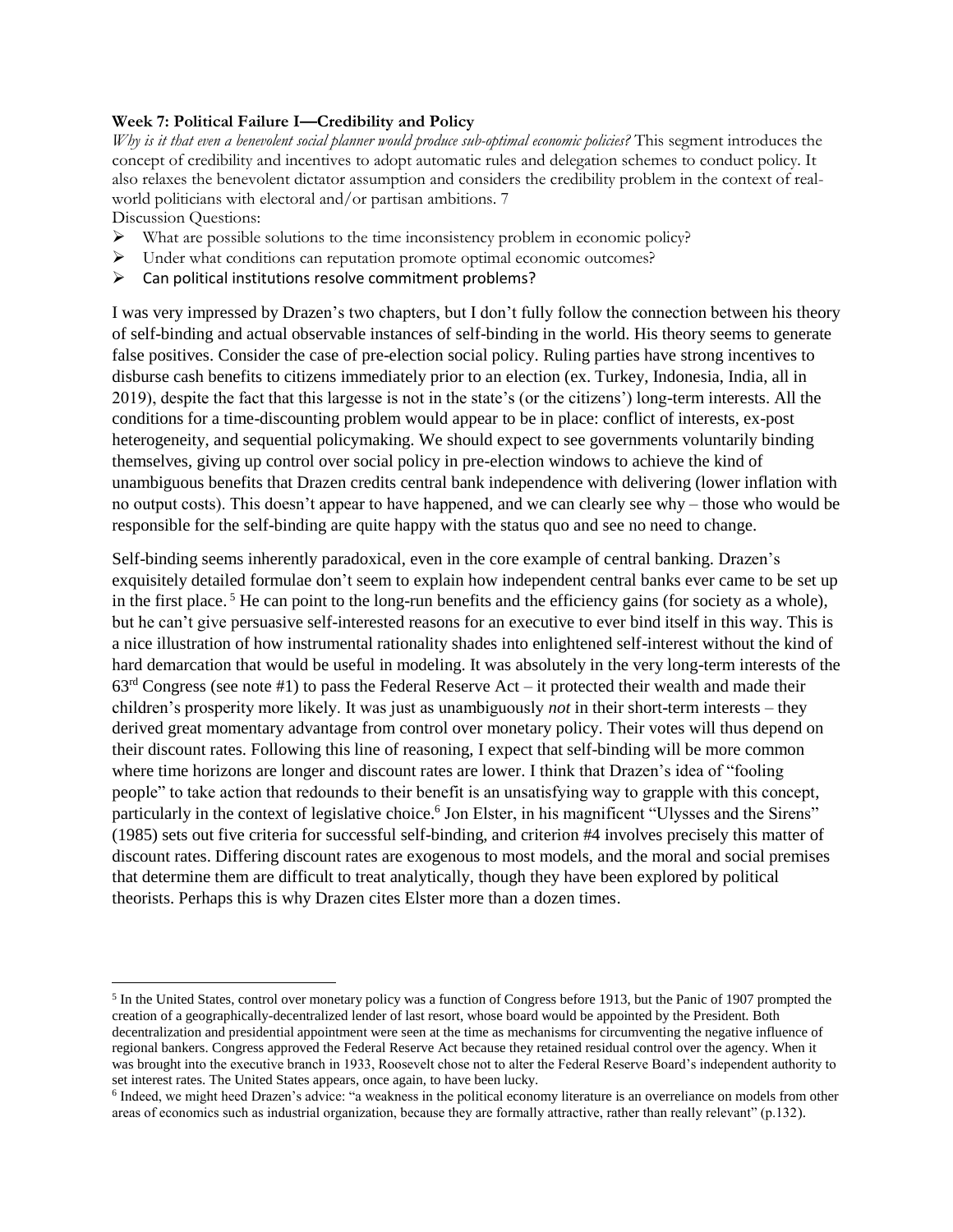### **Week 7: Political Failure I—Credibility and Policy**

*Why is it that even a benevolent social planner would produce sub-optimal economic policies?* This segment introduces the concept of credibility and incentives to adopt automatic rules and delegation schemes to conduct policy. It also relaxes the benevolent dictator assumption and considers the credibility problem in the context of realworld politicians with electoral and/or partisan ambitions. 7

Discussion Questions:

 $\overline{\phantom{a}}$ 

- $\triangleright$  What are possible solutions to the time inconsistency problem in economic policy?
- ➢ Under what conditions can reputation promote optimal economic outcomes?
- $\triangleright$  Can political institutions resolve commitment problems?

I was very impressed by Drazen's two chapters, but I don't fully follow the connection between his theory of self-binding and actual observable instances of self-binding in the world. His theory seems to generate false positives. Consider the case of pre-election social policy. Ruling parties have strong incentives to disburse cash benefits to citizens immediately prior to an election (ex. Turkey, Indonesia, India, all in 2019), despite the fact that this largesse is not in the state's (or the citizens') long-term interests. All the conditions for a time-discounting problem would appear to be in place: conflict of interests, ex-post heterogeneity, and sequential policymaking. We should expect to see governments voluntarily binding themselves, giving up control over social policy in pre-election windows to achieve the kind of unambiguous benefits that Drazen credits central bank independence with delivering (lower inflation with no output costs). This doesn't appear to have happened, and we can clearly see why – those who would be responsible for the self-binding are quite happy with the status quo and see no need to change.

Self-binding seems inherently paradoxical, even in the core example of central banking. Drazen's exquisitely detailed formulae don't seem to explain how independent central banks ever came to be set up in the first place. <sup>5</sup> He can point to the long-run benefits and the efficiency gains (for society as a whole), but he can't give persuasive self-interested reasons for an executive to ever bind itself in this way. This is a nice illustration of how instrumental rationality shades into enlightened self-interest without the kind of hard demarcation that would be useful in modeling. It was absolutely in the very long-term interests of the  $63<sup>rd</sup> Congress$  (see note #1) to pass the Federal Reserve Act – it protected their wealth and made their children's prosperity more likely. It was just as unambiguously *not* in their short-term interests – they derived great momentary advantage from control over monetary policy. Their votes will thus depend on their discount rates. Following this line of reasoning, I expect that self-binding will be more common where time horizons are longer and discount rates are lower. I think that Drazen's idea of "fooling people" to take action that redounds to their benefit is an unsatisfying way to grapple with this concept, particularly in the context of legislative choice.<sup>6</sup> Jon Elster, in his magnificent "Ulysses and the Sirens" (1985) sets out five criteria for successful self-binding, and criterion #4 involves precisely this matter of discount rates. Differing discount rates are exogenous to most models, and the moral and social premises that determine them are difficult to treat analytically, though they have been explored by political theorists. Perhaps this is why Drazen cites Elster more than a dozen times.

<sup>&</sup>lt;sup>5</sup> In the United States, control over monetary policy was a function of Congress before 1913, but the Panic of 1907 prompted the creation of a geographically-decentralized lender of last resort, whose board would be appointed by the President. Both decentralization and presidential appointment were seen at the time as mechanisms for circumventing the negative influence of regional bankers. Congress approved the Federal Reserve Act because they retained residual control over the agency. When it was brought into the executive branch in 1933, Roosevelt chose not to alter the Federal Reserve Board's independent authority to set interest rates. The United States appears, once again, to have been lucky.

<sup>&</sup>lt;sup>6</sup> Indeed, we might heed Drazen's advice: "a weakness in the political economy literature is an overreliance on models from other areas of economics such as industrial organization, because they are formally attractive, rather than really relevant" (p.132).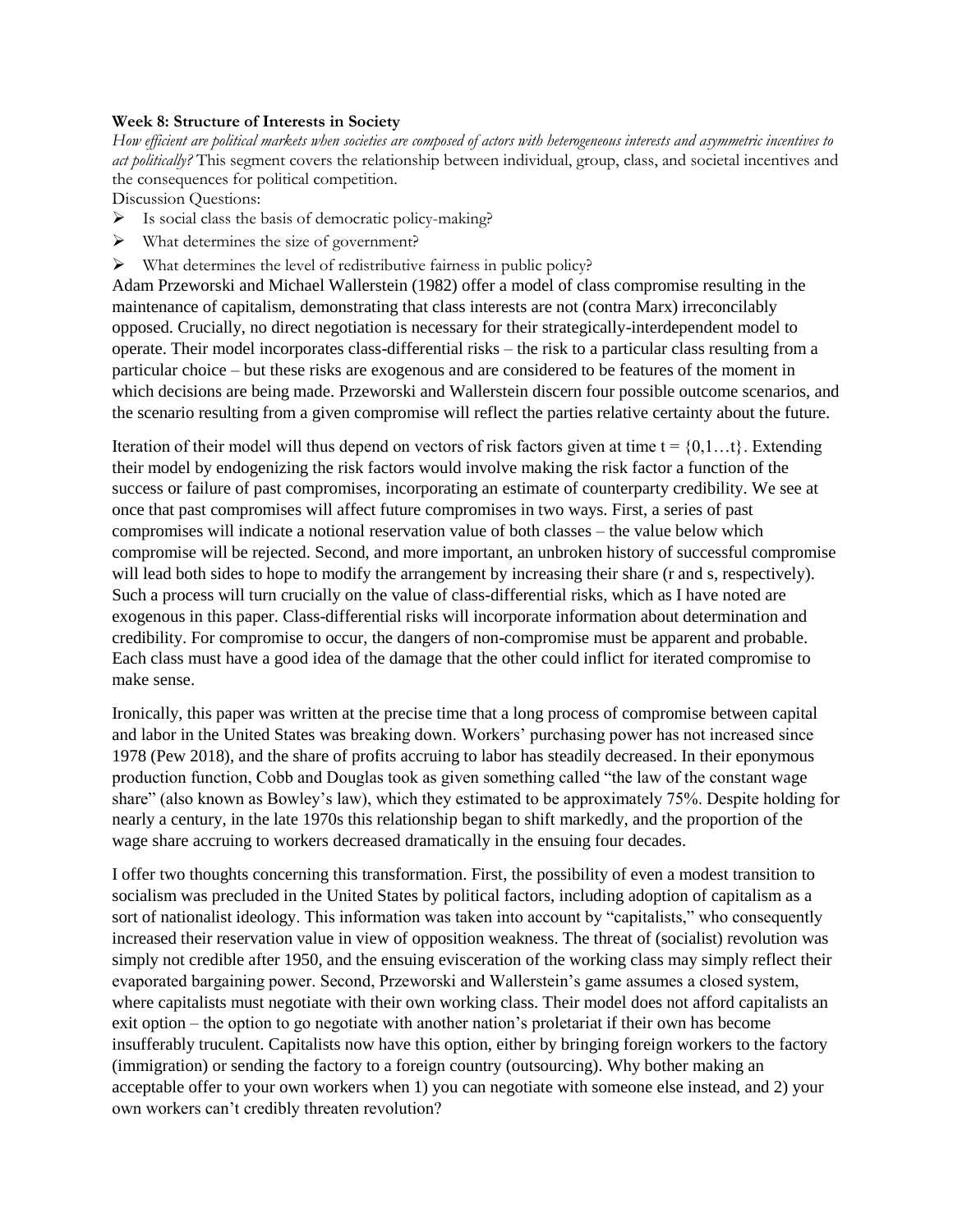#### **Week 8: Structure of Interests in Society**

*How efficient are political markets when societies are composed of actors with heterogeneous interests and asymmetric incentives to act politically?* This segment covers the relationship between individual, group, class, and societal incentives and the consequences for political competition.

Discussion Questions:

- $\triangleright$  Is social class the basis of democratic policy-making?
- ➢ What determines the size of government?
- ➢ What determines the level of redistributive fairness in public policy?

Adam Przeworski and Michael Wallerstein (1982) offer a model of class compromise resulting in the maintenance of capitalism, demonstrating that class interests are not (contra Marx) irreconcilably opposed. Crucially, no direct negotiation is necessary for their strategically-interdependent model to operate. Their model incorporates class-differential risks – the risk to a particular class resulting from a particular choice – but these risks are exogenous and are considered to be features of the moment in which decisions are being made. Przeworski and Wallerstein discern four possible outcome scenarios, and the scenario resulting from a given compromise will reflect the parties relative certainty about the future.

Iteration of their model will thus depend on vectors of risk factors given at time  $t = \{0, 1, \ldots\}$ . Extending their model by endogenizing the risk factors would involve making the risk factor a function of the success or failure of past compromises, incorporating an estimate of counterparty credibility. We see at once that past compromises will affect future compromises in two ways. First, a series of past compromises will indicate a notional reservation value of both classes – the value below which compromise will be rejected. Second, and more important, an unbroken history of successful compromise will lead both sides to hope to modify the arrangement by increasing their share (r and s, respectively). Such a process will turn crucially on the value of class-differential risks, which as I have noted are exogenous in this paper. Class-differential risks will incorporate information about determination and credibility. For compromise to occur, the dangers of non-compromise must be apparent and probable. Each class must have a good idea of the damage that the other could inflict for iterated compromise to make sense.

Ironically, this paper was written at the precise time that a long process of compromise between capital and labor in the United States was breaking down. Workers' purchasing power has not increased since 1978 (Pew 2018), and the share of profits accruing to labor has steadily decreased. In their eponymous production function, Cobb and Douglas took as given something called "the law of the constant wage share" (also known as Bowley's law), which they estimated to be approximately 75%. Despite holding for nearly a century, in the late 1970s this relationship began to shift markedly, and the proportion of the wage share accruing to workers decreased dramatically in the ensuing four decades.

I offer two thoughts concerning this transformation. First, the possibility of even a modest transition to socialism was precluded in the United States by political factors, including adoption of capitalism as a sort of nationalist ideology. This information was taken into account by "capitalists," who consequently increased their reservation value in view of opposition weakness. The threat of (socialist) revolution was simply not credible after 1950, and the ensuing evisceration of the working class may simply reflect their evaporated bargaining power. Second, Przeworski and Wallerstein's game assumes a closed system, where capitalists must negotiate with their own working class. Their model does not afford capitalists an exit option – the option to go negotiate with another nation's proletariat if their own has become insufferably truculent. Capitalists now have this option, either by bringing foreign workers to the factory (immigration) or sending the factory to a foreign country (outsourcing). Why bother making an acceptable offer to your own workers when 1) you can negotiate with someone else instead, and 2) your own workers can't credibly threaten revolution?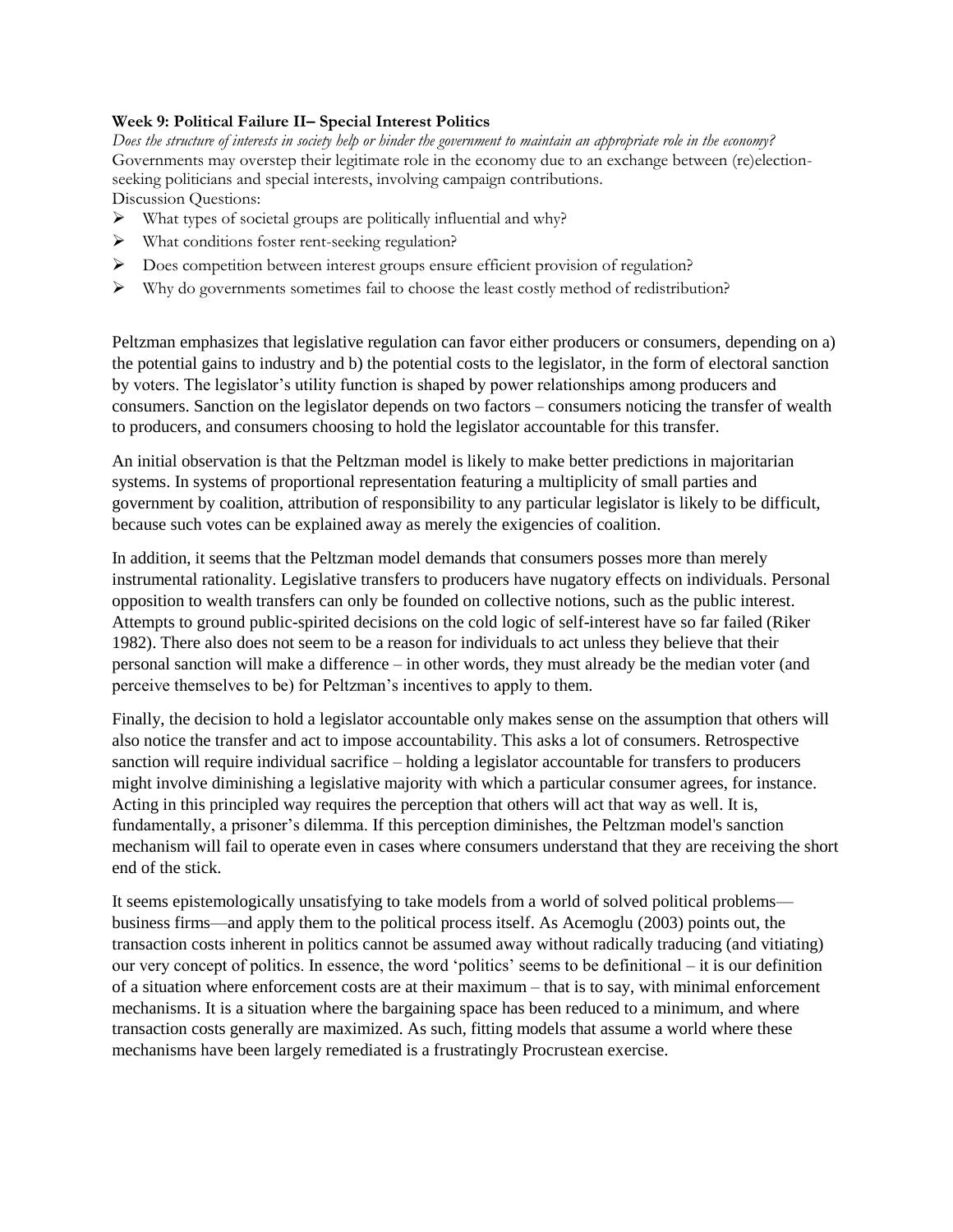# **Week 9: Political Failure II– Special Interest Politics**

*Does the structure of interests in society help or hinder the government to maintain an appropriate role in the economy?*  Governments may overstep their legitimate role in the economy due to an exchange between (re)electionseeking politicians and special interests, involving campaign contributions. Discussion Questions:

- ➢ What types of societal groups are politically influential and why?
- ➢ What conditions foster rent-seeking regulation?
- ➢ Does competition between interest groups ensure efficient provision of regulation?
- ➢ Why do governments sometimes fail to choose the least costly method of redistribution?

Peltzman emphasizes that legislative regulation can favor either producers or consumers, depending on a) the potential gains to industry and b) the potential costs to the legislator, in the form of electoral sanction by voters. The legislator's utility function is shaped by power relationships among producers and consumers. Sanction on the legislator depends on two factors – consumers noticing the transfer of wealth to producers, and consumers choosing to hold the legislator accountable for this transfer.

An initial observation is that the Peltzman model is likely to make better predictions in majoritarian systems. In systems of proportional representation featuring a multiplicity of small parties and government by coalition, attribution of responsibility to any particular legislator is likely to be difficult, because such votes can be explained away as merely the exigencies of coalition.

In addition, it seems that the Peltzman model demands that consumers posses more than merely instrumental rationality. Legislative transfers to producers have nugatory effects on individuals. Personal opposition to wealth transfers can only be founded on collective notions, such as the public interest. Attempts to ground public-spirited decisions on the cold logic of self-interest have so far failed (Riker 1982). There also does not seem to be a reason for individuals to act unless they believe that their personal sanction will make a difference – in other words, they must already be the median voter (and perceive themselves to be) for Peltzman's incentives to apply to them.

Finally, the decision to hold a legislator accountable only makes sense on the assumption that others will also notice the transfer and act to impose accountability. This asks a lot of consumers. Retrospective sanction will require individual sacrifice – holding a legislator accountable for transfers to producers might involve diminishing a legislative majority with which a particular consumer agrees, for instance. Acting in this principled way requires the perception that others will act that way as well. It is, fundamentally, a prisoner's dilemma. If this perception diminishes, the Peltzman model's sanction mechanism will fail to operate even in cases where consumers understand that they are receiving the short end of the stick.

It seems epistemologically unsatisfying to take models from a world of solved political problems business firms—and apply them to the political process itself. As Acemoglu (2003) points out, the transaction costs inherent in politics cannot be assumed away without radically traducing (and vitiating) our very concept of politics. In essence, the word 'politics' seems to be definitional – it is our definition of a situation where enforcement costs are at their maximum – that is to say, with minimal enforcement mechanisms. It is a situation where the bargaining space has been reduced to a minimum, and where transaction costs generally are maximized. As such, fitting models that assume a world where these mechanisms have been largely remediated is a frustratingly Procrustean exercise.